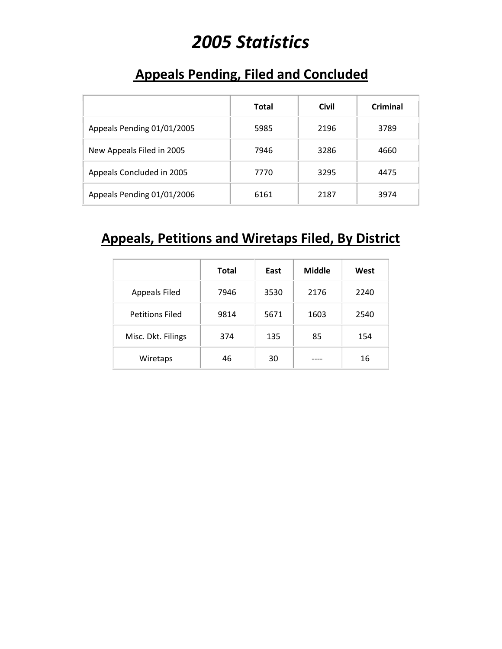# *2005 Statistics*

#### **Appeals Pending, Filed and Concluded**

|                            | <b>Total</b> | <b>Civil</b> | Criminal |
|----------------------------|--------------|--------------|----------|
| Appeals Pending 01/01/2005 | 5985         | 2196         | 3789     |
| New Appeals Filed in 2005  | 7946         | 3286         | 4660     |
| Appeals Concluded in 2005  | 7770         | 3295         | 4475     |
| Appeals Pending 01/01/2006 | 6161         | 2187         | 3974     |

#### **Appeals, Petitions and Wiretaps Filed, By District**

|                        | Total | East | <b>Middle</b> | West |
|------------------------|-------|------|---------------|------|
| <b>Appeals Filed</b>   | 7946  | 3530 | 2176          | 2240 |
| <b>Petitions Filed</b> | 9814  | 5671 | 1603          | 2540 |
| Misc. Dkt. Filings     | 374   | 135  | 85            | 154  |
| Wiretaps               | 46    | 30   |               | 16   |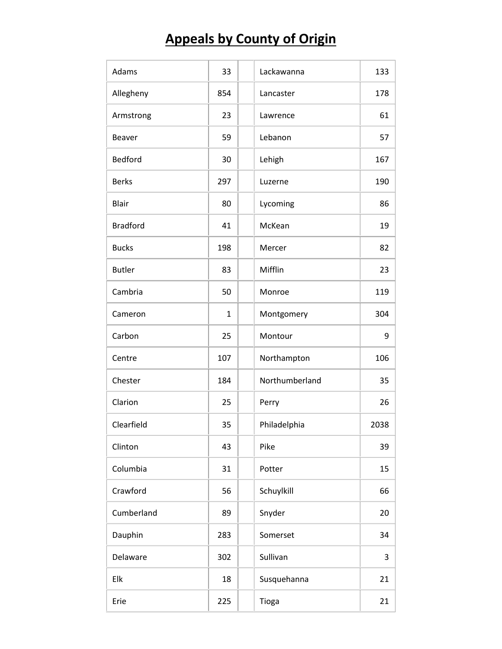## **Appeals by County of Origin**

| Adams           | 33           | Lackawanna     | 133  |
|-----------------|--------------|----------------|------|
| Allegheny       | 854          | Lancaster      | 178  |
| Armstrong       | 23           | Lawrence       | 61   |
| <b>Beaver</b>   | 59           | Lebanon        | 57   |
| Bedford         | 30           | Lehigh         | 167  |
| <b>Berks</b>    | 297          | Luzerne        | 190  |
| <b>Blair</b>    | 80           | Lycoming       | 86   |
| <b>Bradford</b> | 41           | McKean         | 19   |
| <b>Bucks</b>    | 198          | Mercer         | 82   |
| <b>Butler</b>   | 83           | Mifflin        | 23   |
| Cambria         | 50           | Monroe         | 119  |
| Cameron         | $\mathbf{1}$ | Montgomery     | 304  |
| Carbon          | 25           | Montour        | 9    |
| Centre          | 107          | Northampton    | 106  |
| Chester         | 184          | Northumberland | 35   |
| Clarion         | 25           | Perry          | 26   |
| Clearfield      | 35           | Philadelphia   | 2038 |
| Clinton         | 43           | Pike           | 39   |
| Columbia        | 31           | Potter         | 15   |
| Crawford        | 56           | Schuylkill     | 66   |
| Cumberland      | 89           | Snyder         | 20   |
| Dauphin         | 283          | Somerset       | 34   |
| Delaware        | 302          | Sullivan       | 3    |
| Elk             | 18           | Susquehanna    | 21   |
| Erie            | 225          | Tioga          | 21   |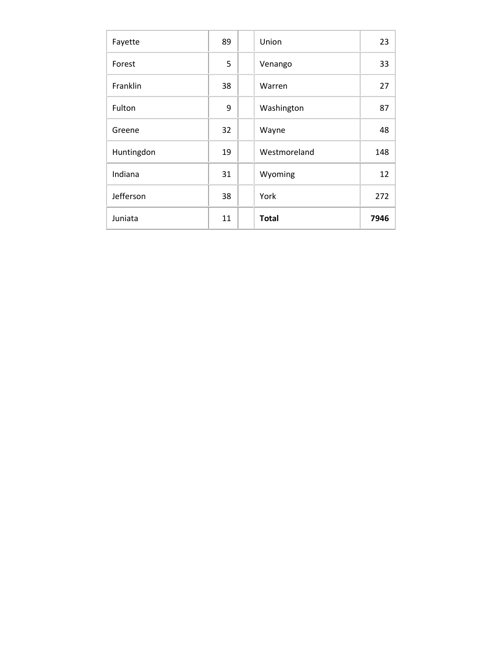| Fayette    | 89 | Union        | 23   |
|------------|----|--------------|------|
| Forest     | 5  | Venango      | 33   |
| Franklin   | 38 | Warren       | 27   |
| Fulton     | 9  | Washington   | 87   |
| Greene     | 32 | Wayne        | 48   |
| Huntingdon | 19 | Westmoreland | 148  |
| Indiana    | 31 | Wyoming      | 12   |
| Jefferson  | 38 | York         | 272  |
| Juniata    | 11 | <b>Total</b> | 7946 |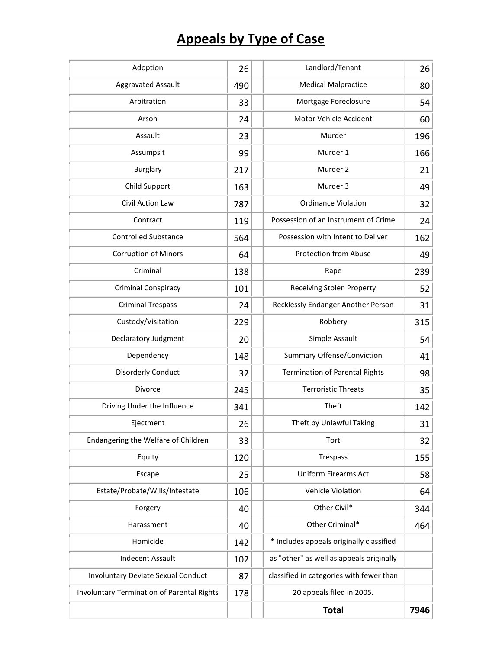## **Appeals by Type of Case**

| Adoption                                   | 26  | Landlord/Tenant                          | 26   |
|--------------------------------------------|-----|------------------------------------------|------|
| <b>Aggravated Assault</b>                  | 490 | <b>Medical Malpractice</b>               | 80   |
| Arbitration                                | 33  | Mortgage Foreclosure                     | 54   |
| Arson                                      | 24  | Motor Vehicle Accident                   | 60   |
| Assault                                    | 23  | Murder                                   | 196  |
| Assumpsit                                  | 99  | Murder 1                                 | 166  |
| <b>Burglary</b>                            | 217 | Murder 2                                 | 21   |
| Child Support                              | 163 | Murder 3                                 | 49   |
| Civil Action Law                           | 787 | <b>Ordinance Violation</b>               | 32   |
| Contract                                   | 119 | Possession of an Instrument of Crime     | 24   |
| <b>Controlled Substance</b>                | 564 | Possession with Intent to Deliver        | 162  |
| <b>Corruption of Minors</b>                | 64  | <b>Protection from Abuse</b>             | 49   |
| Criminal                                   | 138 | Rape                                     | 239  |
| <b>Criminal Conspiracy</b>                 | 101 | <b>Receiving Stolen Property</b>         | 52   |
| <b>Criminal Trespass</b>                   | 24  | Recklessly Endanger Another Person       | 31   |
| Custody/Visitation                         | 229 | Robbery                                  | 315  |
| Declaratory Judgment                       | 20  | Simple Assault                           | 54   |
| Dependency                                 | 148 | <b>Summary Offense/Conviction</b>        | 41   |
| <b>Disorderly Conduct</b>                  | 32  | <b>Termination of Parental Rights</b>    | 98   |
| Divorce                                    | 245 | <b>Terroristic Threats</b>               | 35   |
| Driving Under the Influence                | 341 | Theft                                    | 142  |
| Ejectment                                  | 26  | Theft by Unlawful Taking                 | 31   |
| Endangering the Welfare of Children        | 33  | Tort                                     | 32   |
| Equity                                     | 120 | Trespass                                 | 155  |
| Escape                                     | 25  | Uniform Firearms Act                     | 58   |
| Estate/Probate/Wills/Intestate             | 106 | Vehicle Violation                        | 64   |
| Forgery                                    | 40  | Other Civil*                             | 344  |
| Harassment                                 | 40  | Other Criminal*                          | 464  |
| Homicide                                   | 142 | * Includes appeals originally classified |      |
| <b>Indecent Assault</b>                    | 102 | as "other" as well as appeals originally |      |
| Involuntary Deviate Sexual Conduct         | 87  | classified in categories with fewer than |      |
| Involuntary Termination of Parental Rights | 178 | 20 appeals filed in 2005.                |      |
|                                            |     | <b>Total</b>                             | 7946 |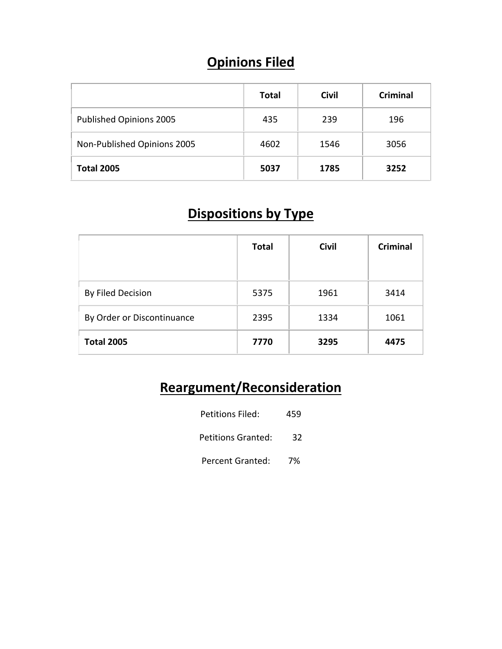## **Opinions Filed**

|                             | Total | <b>Civil</b> | Criminal |
|-----------------------------|-------|--------------|----------|
| Published Opinions 2005     | 435   | 239          | 196      |
| Non-Published Opinions 2005 | 4602  | 1546         | 3056     |
| <b>Total 2005</b>           | 5037  | 1785         | 3252     |

## **Dispositions by Type**

|                            | <b>Total</b> | <b>Civil</b> | <b>Criminal</b> |
|----------------------------|--------------|--------------|-----------------|
| By Filed Decision          | 5375         | 1961         | 3414            |
| By Order or Discontinuance | 2395         | 1334         | 1061            |
| <b>Total 2005</b>          | 7770         | 3295         | 4475            |

## **Reargument/Reconsideration**

| Petitions Filed:   | 459 |
|--------------------|-----|
| Petitions Granted: | 32  |
| Percent Granted:   | 7%  |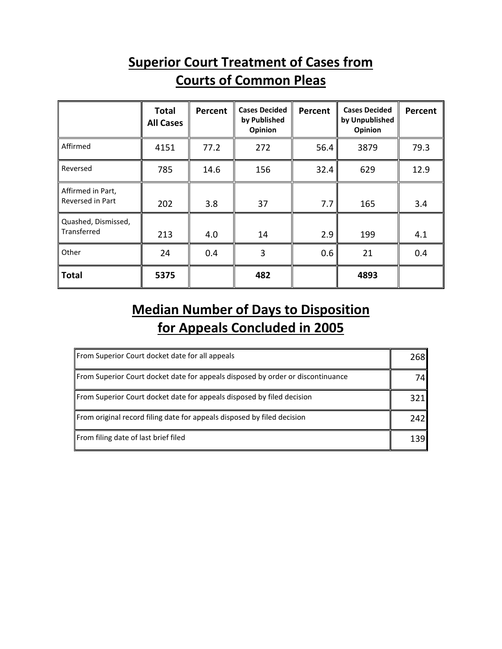### **Superior Court Treatment of Cases from Courts of Common Pleas**

|                                       | <b>Total</b><br><b>All Cases</b> | Percent | <b>Cases Decided</b><br>by Published<br>Opinion | Percent | <b>Cases Decided</b><br>by Unpublished<br>Opinion | Percent |
|---------------------------------------|----------------------------------|---------|-------------------------------------------------|---------|---------------------------------------------------|---------|
| Affirmed                              | 4151                             | 77.2    | 272                                             | 56.4    | 3879                                              | 79.3    |
| Reversed                              | 785                              | 14.6    | 156                                             | 32.4    | 629                                               | 12.9    |
| Affirmed in Part,<br>Reversed in Part | 202                              | 3.8     | 37                                              | 7.7     | 165                                               | 3.4     |
| Quashed, Dismissed,<br>Transferred    | 213                              | 4.0     | 14                                              | 2.9     | 199                                               | 4.1     |
| Other                                 | 24                               | 0.4     | 3                                               | 0.6     | 21                                                | 0.4     |
| ∥ Total                               | 5375                             |         | 482                                             |         | 4893                                              |         |

## **Median Number of Days to Disposition for Appeals Concluded in 2005**

| From Superior Court docket date for all appeals                                 | 2681 |
|---------------------------------------------------------------------------------|------|
| From Superior Court docket date for appeals disposed by order or discontinuance | 74I  |
| From Superior Court docket date for appeals disposed by filed decision          | 321I |
| From original record filing date for appeals disposed by filed decision         | 242I |
| From filing date of last brief filed                                            | 1391 |